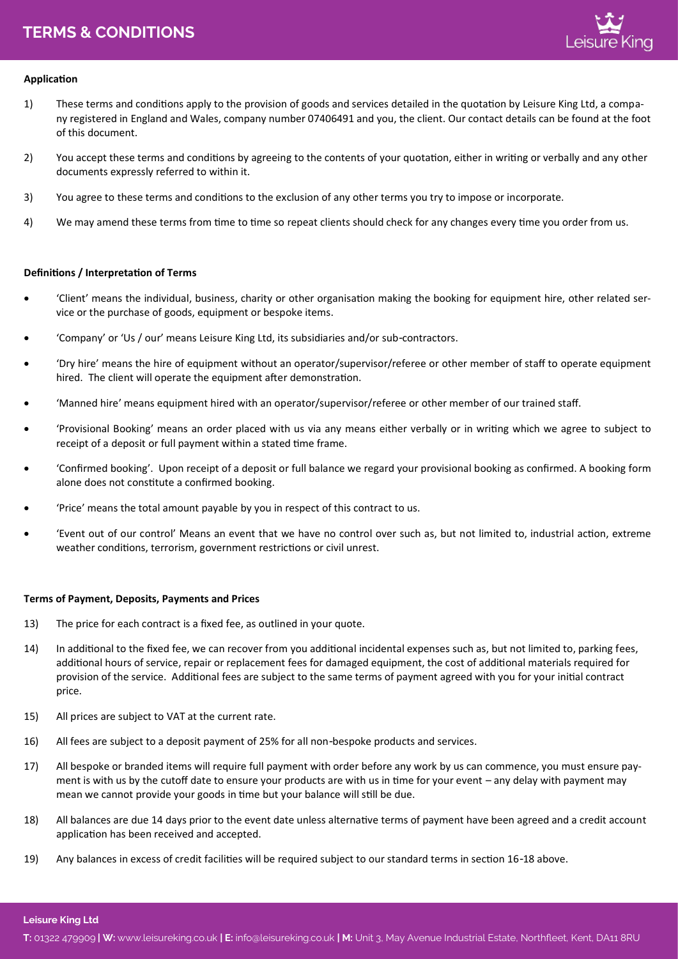# **TERMS & CONDITIONS T: TERMS & CONDITIONS** 01322 479909 **| W:** www.leisureking.co.uk **| E:** info@leisureking.co.uk **| M:** Unit 3, May Avenue Industrial Estate, Northfleet, Kent, DA11 8RU



## **Application**

- 1) These terms and conditions apply to the provision of goods and services detailed in the quotation by Leisure King Ltd, a company registered in England and Wales, company number 07406491 and you, the client. Our contact details can be found at the foot of this document.
- 2) You accept these terms and conditions by agreeing to the contents of your quotation, either in writing or verbally and any other documents expressly referred to within it.
- 3) You agree to these terms and conditions to the exclusion of any other terms you try to impose or incorporate.
- 4) We may amend these terms from time to time so repeat clients should check for any changes every time you order from us.

### **Definitions / Interpretation of Terms**

- 'Client' means the individual, business, charity or other organisation making the booking for equipment hire, other related service or the purchase of goods, equipment or bespoke items.
- 'Company' or 'Us / our' means Leisure King Ltd, its subsidiaries and/or sub-contractors.
- 'Dry hire' means the hire of equipment without an operator/supervisor/referee or other member of staff to operate equipment hired. The client will operate the equipment after demonstration.
- 'Manned hire' means equipment hired with an operator/supervisor/referee or other member of our trained staff.
- 'Provisional Booking' means an order placed with us via any means either verbally or in writing which we agree to subject to receipt of a deposit or full payment within a stated time frame.
- 'Confirmed booking'. Upon receipt of a deposit or full balance we regard your provisional booking as confirmed. A booking form alone does not constitute a confirmed booking.
- 'Price' means the total amount payable by you in respect of this contract to us.
- 'Event out of our control' Means an event that we have no control over such as, but not limited to, industrial action, extreme weather conditions, terrorism, government restrictions or civil unrest.

### **Terms of Payment, Deposits, Payments and Prices**

- 13) The price for each contract is a fixed fee, as outlined in your quote.
- 14) In additional to the fixed fee, we can recover from you additional incidental expenses such as, but not limited to, parking fees, additional hours of service, repair or replacement fees for damaged equipment, the cost of additional materials required for provision of the service. Additional fees are subject to the same terms of payment agreed with you for your initial contract price.
- 15) All prices are subject to VAT at the current rate.
- 16) All fees are subject to a deposit payment of 25% for all non-bespoke products and services.
- 17) All bespoke or branded items will require full payment with order before any work by us can commence, you must ensure payment is with us by the cutoff date to ensure your products are with us in time for your event – any delay with payment may mean we cannot provide your goods in time but your balance will still be due.
- 18) All balances are due 14 days prior to the event date unless alternative terms of payment have been agreed and a credit account application has been received and accepted.
- 19) Any balances in excess of credit facilities will be required subject to our standard terms in section 16-18 above.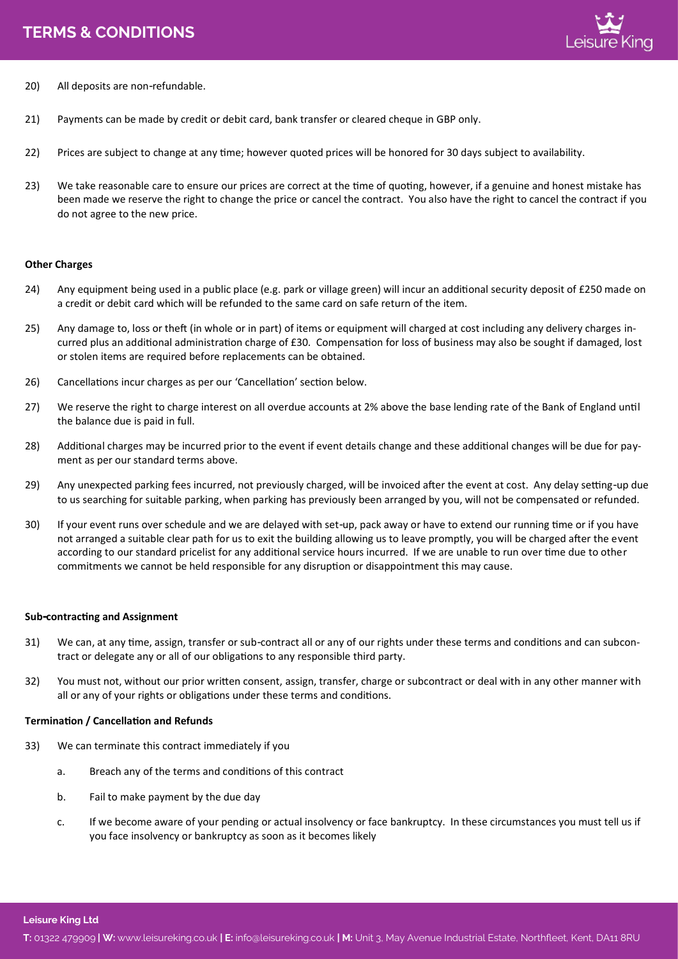

- 20) All deposits are non-refundable.
- 21) Payments can be made by credit or debit card, bank transfer or cleared cheque in GBP only.
- 22) Prices are subject to change at any time; however quoted prices will be honored for 30 days subject to availability.
- 23) We take reasonable care to ensure our prices are correct at the time of quoting, however, if a genuine and honest mistake has been made we reserve the right to change the price or cancel the contract. You also have the right to cancel the contract if you do not agree to the new price.

### **Other Charges**

- 24) Any equipment being used in a public place (e.g. park or village green) will incur an additional security deposit of £250 made on a credit or debit card which will be refunded to the same card on safe return of the item.
- 25) Any damage to, loss or theft (in whole or in part) of items or equipment will charged at cost including any delivery charges incurred plus an additional administration charge of £30. Compensation for loss of business may also be sought if damaged, lost or stolen items are required before replacements can be obtained.
- 26) Cancellations incur charges as per our 'Cancellation' section below.
- 27) We reserve the right to charge interest on all overdue accounts at 2% above the base lending rate of the Bank of England until the balance due is paid in full.
- 28) Additional charges may be incurred prior to the event if event details change and these additional changes will be due for payment as per our standard terms above.
- 29) Any unexpected parking fees incurred, not previously charged, will be invoiced after the event at cost. Any delay setting-up due to us searching for suitable parking, when parking has previously been arranged by you, will not be compensated or refunded.
- 30) If your event runs over schedule and we are delayed with set-up, pack away or have to extend our running time or if you have not arranged a suitable clear path for us to exit the building allowing us to leave promptly, you will be charged after the event according to our standard pricelist for any additional service hours incurred. If we are unable to run over time due to other commitments we cannot be held responsible for any disruption or disappointment this may cause.

### **Sub-contracting and Assignment**

- 31) We can, at any time, assign, transfer or sub-contract all or any of our rights under these terms and conditions and can subcontract or delegate any or all of our obligations to any responsible third party.
- 32) You must not, without our prior written consent, assign, transfer, charge or subcontract or deal with in any other manner with all or any of your rights or obligations under these terms and conditions.

### **Termination / Cancellation and Refunds**

- 33) We can terminate this contract immediately if you
	- a. Breach any of the terms and conditions of this contract
	- b. Fail to make payment by the due day
	- c. If we become aware of your pending or actual insolvency or face bankruptcy. In these circumstances you must tell us if you face insolvency or bankruptcy as soon as it becomes likely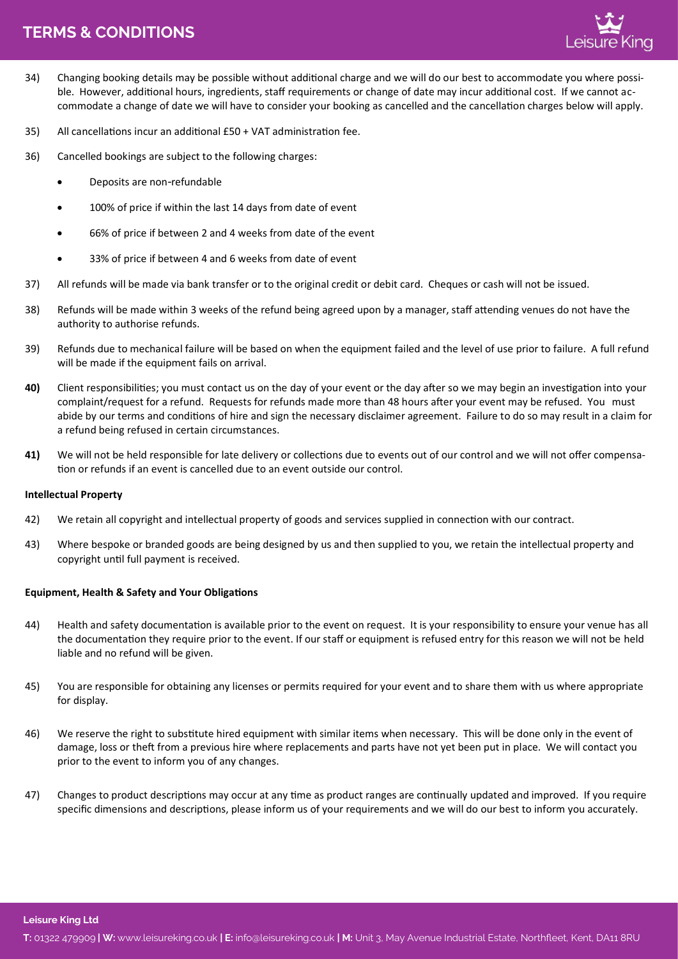# **TERMS & CONDITIONS T: TERMS & CONDITIONS** 01322 479909 **| W:** www.leisureking.co.uk **| E:** info@leisureking.co.uk **| M:** Unit 3, May Avenue Industrial Estate, Northfleet, Kent, DA11 8RU



- 34) Changing booking details may be possible without additional charge and we will do our best to accommodate you where possible. However, additional hours, ingredients, staff requirements or change of date may incur additional cost. If we cannot accommodate a change of date we will have to consider your booking as cancelled and the cancellation charges below will apply.
- 35) All cancellations incur an additional £50 + VAT administration fee.
- 36) Cancelled bookings are subject to the following charges:
	- Deposits are non-refundable
	- 100% of price if within the last 14 days from date of event
	- 66% of price if between 2 and 4 weeks from date of the event
	- 33% of price if between 4 and 6 weeks from date of event
- 37) All refunds will be made via bank transfer or to the original credit or debit card. Cheques or cash will not be issued.
- 38) Refunds will be made within 3 weeks of the refund being agreed upon by a manager, staff attending venues do not have the authority to authorise refunds.
- 39) Refunds due to mechanical failure will be based on when the equipment failed and the level of use prior to failure. A full refund will be made if the equipment fails on arrival.
- **40)** Client responsibilities; you must contact us on the day of your event or the day after so we may begin an investigation into your complaint/request for a refund. Requests for refunds made more than 48 hours after your event may be refused. You must abide by our terms and conditions of hire and sign the necessary disclaimer agreement. Failure to do so may result in a claim for a refund being refused in certain circumstances.
- **41)** We will not be held responsible for late delivery or collections due to events out of our control and we will not offer compensation or refunds if an event is cancelled due to an event outside our control.

### **Intellectual Property**

- 42) We retain all copyright and intellectual property of goods and services supplied in connection with our contract.
- 43) Where bespoke or branded goods are being designed by us and then supplied to you, we retain the intellectual property and copyright until full payment is received.

## **Equipment, Health & Safety and Your Obligations**

- 44) Health and safety documentation is available prior to the event on request. It is your responsibility to ensure your venue has all the documentation they require prior to the event. If our staff or equipment is refused entry for this reason we will not be held liable and no refund will be given.
- 45) You are responsible for obtaining any licenses or permits required for your event and to share them with us where appropriate for display.
- 46) We reserve the right to substitute hired equipment with similar items when necessary. This will be done only in the event of damage, loss or theft from a previous hire where replacements and parts have not yet been put in place. We will contact you prior to the event to inform you of any changes.
- 47) Changes to product descriptions may occur at any time as product ranges are continually updated and improved. If you require specific dimensions and descriptions, please inform us of your requirements and we will do our best to inform you accurately.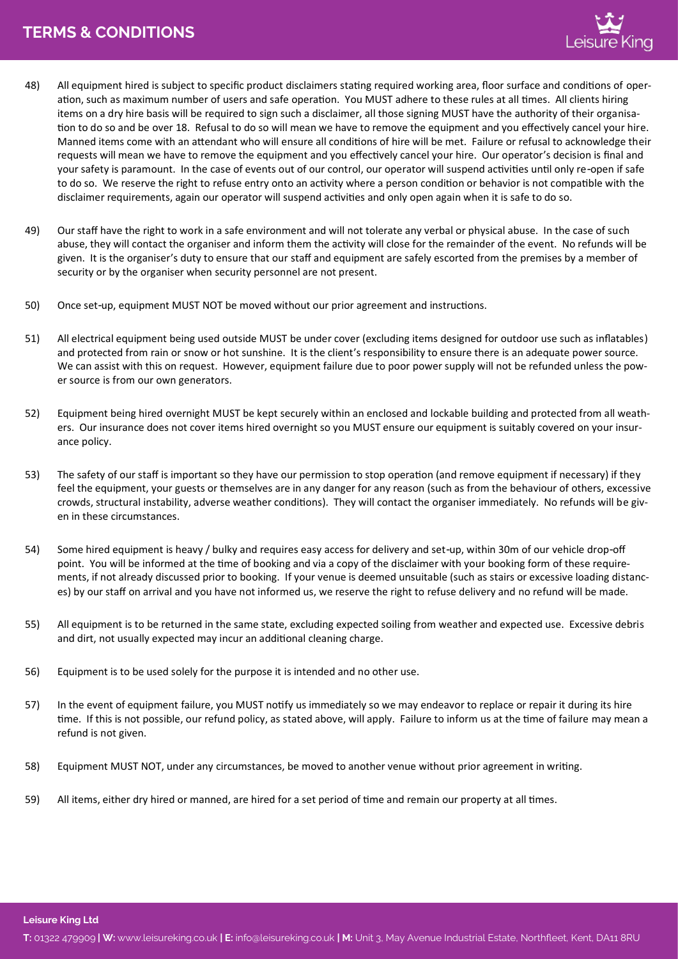- 48) All equipment hired is subject to specific product disclaimers stating required working area, floor surface and conditions of operation, such as maximum number of users and safe operation. You MUST adhere to these rules at all times. All clients hiring items on a dry hire basis will be required to sign such a disclaimer, all those signing MUST have the authority of their organisation to do so and be over 18. Refusal to do so will mean we have to remove the equipment and you effectively cancel your hire. Manned items come with an attendant who will ensure all conditions of hire will be met. Failure or refusal to acknowledge their requests will mean we have to remove the equipment and you effectively cancel your hire. Our operator's decision is final and your safety is paramount. In the case of events out of our control, our operator will suspend activities until only re-open if safe to do so. We reserve the right to refuse entry onto an activity where a person condition or behavior is not compatible with the disclaimer requirements, again our operator will suspend activities and only open again when it is safe to do so.
- 49) Our staff have the right to work in a safe environment and will not tolerate any verbal or physical abuse. In the case of such abuse, they will contact the organiser and inform them the activity will close for the remainder of the event. No refunds will be given. It is the organiser's duty to ensure that our staff and equipment are safely escorted from the premises by a member of security or by the organiser when security personnel are not present.
- 50) Once set-up, equipment MUST NOT be moved without our prior agreement and instructions.
- 51) All electrical equipment being used outside MUST be under cover (excluding items designed for outdoor use such as inflatables) and protected from rain or snow or hot sunshine. It is the client's responsibility to ensure there is an adequate power source. We can assist with this on request. However, equipment failure due to poor power supply will not be refunded unless the power source is from our own generators.
- 52) Equipment being hired overnight MUST be kept securely within an enclosed and lockable building and protected from all weathers. Our insurance does not cover items hired overnight so you MUST ensure our equipment is suitably covered on your insurance policy.
- 53) The safety of our staff is important so they have our permission to stop operation (and remove equipment if necessary) if they feel the equipment, your guests or themselves are in any danger for any reason (such as from the behaviour of others, excessive crowds, structural instability, adverse weather conditions). They will contact the organiser immediately. No refunds will be given in these circumstances.
- 54) Some hired equipment is heavy / bulky and requires easy access for delivery and set-up, within 30m of our vehicle drop-off point. You will be informed at the time of booking and via a copy of the disclaimer with your booking form of these requirements, if not already discussed prior to booking. If your venue is deemed unsuitable (such as stairs or excessive loading distances) by our staff on arrival and you have not informed us, we reserve the right to refuse delivery and no refund will be made.
- 55) All equipment is to be returned in the same state, excluding expected soiling from weather and expected use. Excessive debris and dirt, not usually expected may incur an additional cleaning charge.
- 56) Equipment is to be used solely for the purpose it is intended and no other use.
- 57) In the event of equipment failure, you MUST notify us immediately so we may endeavor to replace or repair it during its hire time. If this is not possible, our refund policy, as stated above, will apply. Failure to inform us at the time of failure may mean a refund is not given.
- 58) Equipment MUST NOT, under any circumstances, be moved to another venue without prior agreement in writing.
- 59) All items, either dry hired or manned, are hired for a set period of time and remain our property at all times.